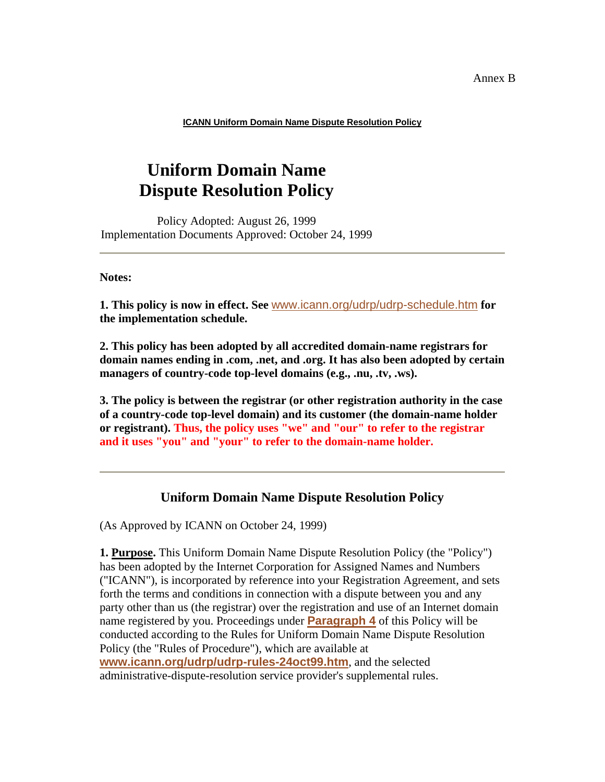Annex B

**ICANN Uniform Domain Name Dispute Resolution Policy**

## **Uniform Domain Name Dispute Resolution Policy**

Policy Adopted: August 26, 1999 Implementation Documents Approved: October 24, 1999

**Notes:**

**1. This policy is now in effect. See** www.icann.org/udrp/udrp-schedule.htm **for the implementation schedule.**

**2. This policy has been adopted by all accredited domain-name registrars for domain names ending in .com, .net, and .org. It has also been adopted by certain managers of country-code top-level domains (e.g., .nu, .tv, .ws).**

**3. The policy is between the registrar (or other registration authority in the case of a country-code top-level domain) and its customer (the domain-name holder or registrant). Thus, the policy uses "we" and "our" to refer to the registrar and it uses "you" and "your" to refer to the domain-name holder.**

## **Uniform Domain Name Dispute Resolution Policy**

(As Approved by ICANN on October 24, 1999)

**1. Purpose.** This Uniform Domain Name Dispute Resolution Policy (the "Policy") has been adopted by the Internet Corporation for Assigned Names and Numbers ("ICANN"), is incorporated by reference into your Registration Agreement, and sets forth the terms and conditions in connection with a dispute between you and any party other than us (the registrar) over the registration and use of an Internet domain name registered by you. Proceedings under **Paragraph 4** of this Policy will be conducted according to the Rules for Uniform Domain Name Dispute Resolution Policy (the "Rules of Procedure"), which are available at **www.icann.org/udrp/udrp-rules-24oct99.htm**, and the selected administrative-dispute-resolution service provider's supplemental rules.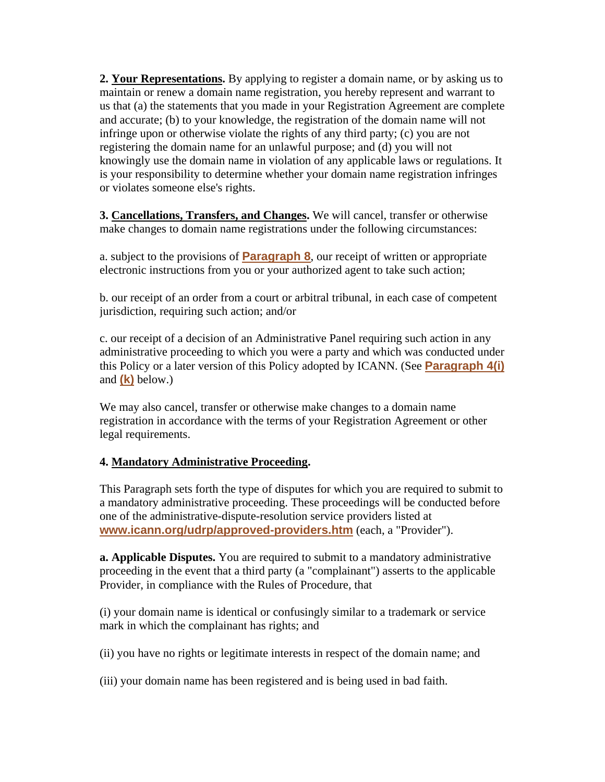**2. Your Representations.** By applying to register a domain name, or by asking us to maintain or renew a domain name registration, you hereby represent and warrant to us that (a) the statements that you made in your Registration Agreement are complete and accurate; (b) to your knowledge, the registration of the domain name will not infringe upon or otherwise violate the rights of any third party; (c) you are not registering the domain name for an unlawful purpose; and (d) you will not knowingly use the domain name in violation of any applicable laws or regulations. It is your responsibility to determine whether your domain name registration infringes or violates someone else's rights.

**3. Cancellations, Transfers, and Changes.** We will cancel, transfer or otherwise make changes to domain name registrations under the following circumstances:

a. subject to the provisions of **Paragraph 8**, our receipt of written or appropriate electronic instructions from you or your authorized agent to take such action;

b. our receipt of an order from a court or arbitral tribunal, in each case of competent jurisdiction, requiring such action; and/or

c. our receipt of a decision of an Administrative Panel requiring such action in any administrative proceeding to which you were a party and which was conducted under this Policy or a later version of this Policy adopted by ICANN. (See **Paragraph 4(i)** and **(k)** below.)

We may also cancel, transfer or otherwise make changes to a domain name registration in accordance with the terms of your Registration Agreement or other legal requirements.

## **4. Mandatory Administrative Proceeding.**

This Paragraph sets forth the type of disputes for which you are required to submit to a mandatory administrative proceeding. These proceedings will be conducted before one of the administrative-dispute-resolution service providers listed at **www.icann.org/udrp/approved-providers.htm** (each, a "Provider").

**a. Applicable Disputes.** You are required to submit to a mandatory administrative proceeding in the event that a third party (a "complainant") asserts to the applicable Provider, in compliance with the Rules of Procedure, that

(i) your domain name is identical or confusingly similar to a trademark or service mark in which the complainant has rights; and

(ii) you have no rights or legitimate interests in respect of the domain name; and

(iii) your domain name has been registered and is being used in bad faith.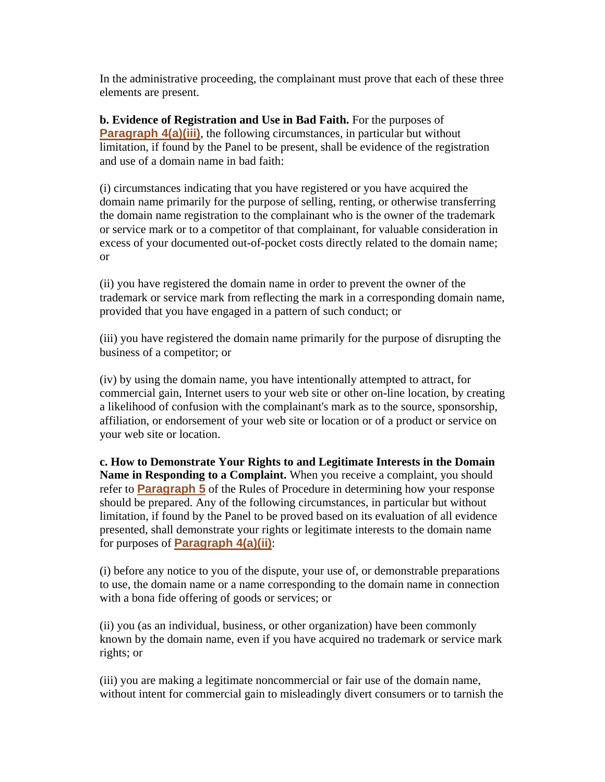In the administrative proceeding, the complainant must prove that each of these three elements are present.

**b. Evidence of Registration and Use in Bad Faith.** For the purposes of **Paragraph 4(a)(iii)**, the following circumstances, in particular but without limitation, if found by the Panel to be present, shall be evidence of the registration and use of a domain name in bad faith:

(i) circumstances indicating that you have registered or you have acquired the domain name primarily for the purpose of selling, renting, or otherwise transferring the domain name registration to the complainant who is the owner of the trademark or service mark or to a competitor of that complainant, for valuable consideration in excess of your documented out-of-pocket costs directly related to the domain name; or

(ii) you have registered the domain name in order to prevent the owner of the trademark or service mark from reflecting the mark in a corresponding domain name, provided that you have engaged in a pattern of such conduct; or

(iii) you have registered the domain name primarily for the purpose of disrupting the business of a competitor; or

(iv) by using the domain name, you have intentionally attempted to attract, for commercial gain, Internet users to your web site or other on-line location, by creating a likelihood of confusion with the complainant's mark as to the source, sponsorship, affiliation, or endorsement of your web site or location or of a product or service on your web site or location.

**c. How to Demonstrate Your Rights to and Legitimate Interests in the Domain Name in Responding to a Complaint.** When you receive a complaint, you should refer to **Paragraph 5** of the Rules of Procedure in determining how your response should be prepared. Any of the following circumstances, in particular but without limitation, if found by the Panel to be proved based on its evaluation of all evidence presented, shall demonstrate your rights or legitimate interests to the domain name for purposes of **Paragraph 4(a)(ii)**:

(i) before any notice to you of the dispute, your use of, or demonstrable preparations to use, the domain name or a name corresponding to the domain name in connection with a bona fide offering of goods or services; or

(ii) you (as an individual, business, or other organization) have been commonly known by the domain name, even if you have acquired no trademark or service mark rights; or

(iii) you are making a legitimate noncommercial or fair use of the domain name, without intent for commercial gain to misleadingly divert consumers or to tarnish the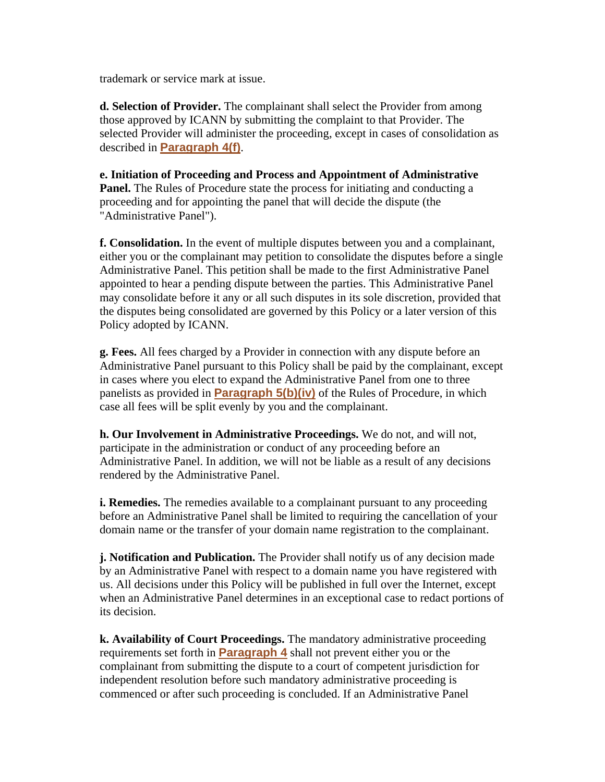trademark or service mark at issue.

**d. Selection of Provider.** The complainant shall select the Provider from among those approved by ICANN by submitting the complaint to that Provider. The selected Provider will administer the proceeding, except in cases of consolidation as described in **Paragraph 4(f)**.

**e. Initiation of Proceeding and Process and Appointment of Administrative Panel.** The Rules of Procedure state the process for initiating and conducting a proceeding and for appointing the panel that will decide the dispute (the "Administrative Panel").

**f. Consolidation.** In the event of multiple disputes between you and a complainant, either you or the complainant may petition to consolidate the disputes before a single Administrative Panel. This petition shall be made to the first Administrative Panel appointed to hear a pending dispute between the parties. This Administrative Panel may consolidate before it any or all such disputes in its sole discretion, provided that the disputes being consolidated are governed by this Policy or a later version of this Policy adopted by ICANN.

**g. Fees.** All fees charged by a Provider in connection with any dispute before an Administrative Panel pursuant to this Policy shall be paid by the complainant, except in cases where you elect to expand the Administrative Panel from one to three panelists as provided in **Paragraph 5(b)(iv)** of the Rules of Procedure, in which case all fees will be split evenly by you and the complainant.

**h. Our Involvement in Administrative Proceedings.** We do not, and will not, participate in the administration or conduct of any proceeding before an Administrative Panel. In addition, we will not be liable as a result of any decisions rendered by the Administrative Panel.

**i. Remedies.** The remedies available to a complainant pursuant to any proceeding before an Administrative Panel shall be limited to requiring the cancellation of your domain name or the transfer of your domain name registration to the complainant.

**j. Notification and Publication.** The Provider shall notify us of any decision made by an Administrative Panel with respect to a domain name you have registered with us. All decisions under this Policy will be published in full over the Internet, except when an Administrative Panel determines in an exceptional case to redact portions of its decision.

**k. Availability of Court Proceedings.** The mandatory administrative proceeding requirements set forth in **Paragraph 4** shall not prevent either you or the complainant from submitting the dispute to a court of competent jurisdiction for independent resolution before such mandatory administrative proceeding is commenced or after such proceeding is concluded. If an Administrative Panel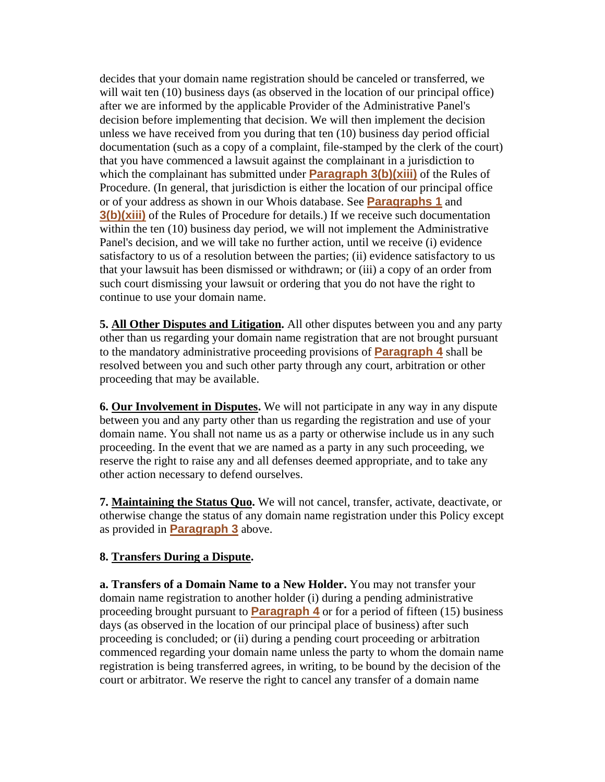decides that your domain name registration should be canceled or transferred, we will wait ten (10) business days (as observed in the location of our principal office) after we are informed by the applicable Provider of the Administrative Panel's decision before implementing that decision. We will then implement the decision unless we have received from you during that ten (10) business day period official documentation (such as a copy of a complaint, file-stamped by the clerk of the court) that you have commenced a lawsuit against the complainant in a jurisdiction to which the complainant has submitted under **Paragraph 3(b)(xiii)** of the Rules of Procedure. (In general, that jurisdiction is either the location of our principal office or of your address as shown in our Whois database. See **Paragraphs 1** and **3(b)(xiii)** of the Rules of Procedure for details.) If we receive such documentation within the ten (10) business day period, we will not implement the Administrative Panel's decision, and we will take no further action, until we receive (i) evidence satisfactory to us of a resolution between the parties; (ii) evidence satisfactory to us that your lawsuit has been dismissed or withdrawn; or (iii) a copy of an order from such court dismissing your lawsuit or ordering that you do not have the right to continue to use your domain name.

**5. All Other Disputes and Litigation.** All other disputes between you and any party other than us regarding your domain name registration that are not brought pursuant to the mandatory administrative proceeding provisions of **Paragraph 4** shall be resolved between you and such other party through any court, arbitration or other proceeding that may be available.

**6. Our Involvement in Disputes.** We will not participate in any way in any dispute between you and any party other than us regarding the registration and use of your domain name. You shall not name us as a party or otherwise include us in any such proceeding. In the event that we are named as a party in any such proceeding, we reserve the right to raise any and all defenses deemed appropriate, and to take any other action necessary to defend ourselves.

**7. Maintaining the Status Quo.** We will not cancel, transfer, activate, deactivate, or otherwise change the status of any domain name registration under this Policy except as provided in **Paragraph 3** above.

## **8. Transfers During a Dispute.**

**a. Transfers of a Domain Name to a New Holder.** You may not transfer your domain name registration to another holder (i) during a pending administrative proceeding brought pursuant to **Paragraph 4** or for a period of fifteen (15) business days (as observed in the location of our principal place of business) after such proceeding is concluded; or (ii) during a pending court proceeding or arbitration commenced regarding your domain name unless the party to whom the domain name registration is being transferred agrees, in writing, to be bound by the decision of the court or arbitrator. We reserve the right to cancel any transfer of a domain name